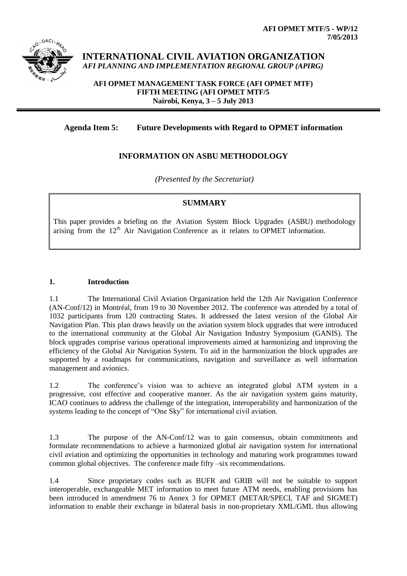

**INTERNATIONAL CIVIL AVIATION ORGANIZATION** *AFI PLANNING AND IMPLEMENTATION REGIONAL GROUP (APIRG)*

**AFI OPMET MANAGEMENT TASK FORCE (AFI OPMET MTF) FIFTH MEETING (AFI OPMET MTF/5 Nairobi, Kenya, 3 – 5 July 2013**

# **Agenda Item 5: Future Developments with Regard to OPMET information**

## **INFORMATION ON ASBU METHODOLOGY**

*(Presented by the Secretariat)*

## **SUMMARY**

This paper provides a briefing on the Aviation System Block Upgrades (ASBU) methodology arising from the 12<sup>th</sup> Air Navigation Conference as it relates to OPMET information.

#### **1. Introduction**

1.1 The International Civil Aviation Organization held the 12th Air Navigation Conference (AN-Conf/12) in Montréal, from 19 to 30 November 2012. The conference was attended by a total of 1032 participants from 120 contracting States. It addressed the latest version of the Global Air Navigation Plan. This plan draws heavily on the aviation system block upgrades that were introduced to the international community at the Global Air Navigation Industry Symposium (GANIS). The block upgrades comprise various operational improvements aimed at harmonizing and improving the efficiency of the Global Air Navigation System. To aid in the harmonization the block upgrades are supported by a roadmaps for communications, navigation and surveillance as well information management and avionics.

1.2 The conference's vision was to achieve an integrated global ATM system in a progressive, cost effective and cooperative manner. As the air navigation system gains maturity, ICAO continues to address the challenge of the integration, interoperability and harmonization of the systems leading to the concept of "One Sky" for international civil aviation.

1.3 The purpose of the AN-Conf/12 was to gain consensus, obtain commitments and formulate recommendations to achieve a harmonized global air navigation system for international civil aviation and optimizing the opportunities in technology and maturing work programmes toward common global objectives. The conference made fifty –six recommendations.

1.4 Since proprietary codes such as BUFR and GRIB will not be suitable to support interoperable, exchangeable MET information to meet future ATM needs, enabling provisions has been introduced in amendment 76 to Annex 3 for OPMET (METAR/SPECI, TAF and SIGMET) information to enable their exchange in bilateral basis in non-proprietary XML/GML thus allowing